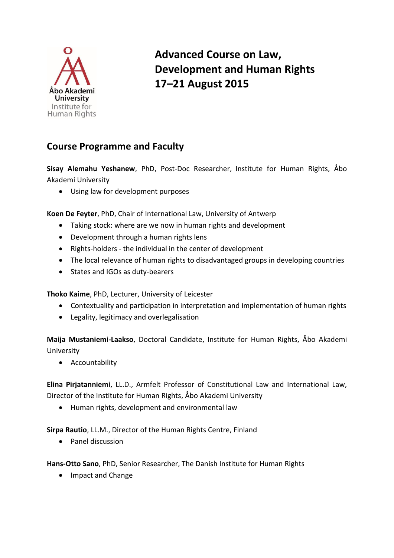

## **Advanced Course on Law, Development and Human Rights 17–21 August 2015**

## **Course Programme and Faculty**

**Sisay Alemahu Yeshanew**, PhD, Post-Doc Researcher, Institute for Human Rights, Åbo Akademi University

Using law for development purposes

**Koen De Feyter**, PhD, Chair of International Law, University of Antwerp

- Taking stock: where are we now in human rights and development
- Development through a human rights lens
- Rights-holders the individual in the center of development
- The local relevance of human rights to disadvantaged groups in developing countries
- States and IGOs as duty-bearers

**Thoko Kaime**, PhD, Lecturer, University of Leicester

- Contextuality and participation in interpretation and implementation of human rights
- Legality, legitimacy and overlegalisation

**Maija Mustaniemi-Laakso**, Doctoral Candidate, Institute for Human Rights, Åbo Akademi University

**•** Accountability

**Elina Pirjatanniemi**, LL.D., Armfelt Professor of Constitutional Law and International Law, Director of the Institute for Human Rights, Åbo Akademi University

Human rights, development and environmental law

**Sirpa Rautio**, LL.M., Director of the Human Rights Centre, Finland

Panel discussion

**Hans-Otto Sano**, PhD, Senior Researcher, The Danish Institute for Human Rights

• Impact and Change